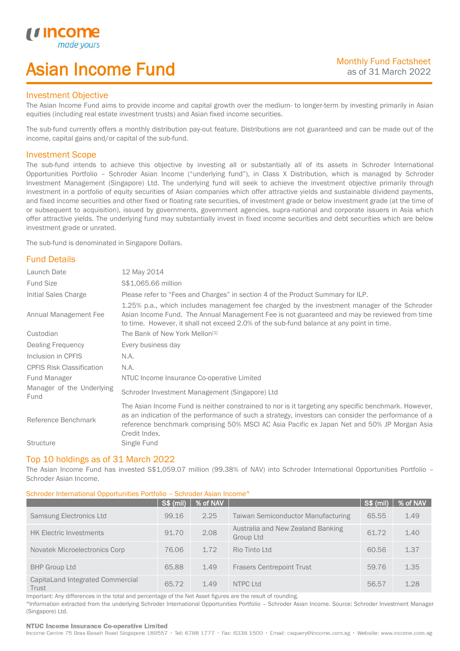# Asian Income Fund

### Investment Objective

*u* incor

I

The Asian Income Fund aims to provide income and capital growth over the medium- to longer-term by investing primarily in Asian equities (including real estate investment trusts) and Asian fixed income securities.

The sub-fund currently offers a monthly distribution pay-out feature. Distributions are not guaranteed and can be made out of the income, capital gains and/or capital of the sub-fund.

### Investment Scope

The sub-fund intends to achieve this objective by investing all or substantially all of its assets in Schroder International Opportunities Portfolio – Schroder Asian Income ("underlying fund"), in Class X Distribution, which is managed by Schroder Investment Management (Singapore) Ltd. The underlying fund will seek to achieve the investment objective primarily through investment in a portfolio of equity securities of Asian companies which offer attractive yields and sustainable dividend payments, and fixed income securities and other fixed or floating rate securities, of investment grade or below investment grade (at the time of or subsequent to acquisition), issued by governments, government agencies, supra-national and corporate issuers in Asia which offer attractive yields. The underlying fund may substantially invest in fixed income securities and debt securities which are below investment grade or unrated.

The sub-fund is denominated in Singapore Dollars.

## Fund Details

| Launch Date                       | 12 May 2014                                                                                                                                                                                                                                                                                                                 |
|-----------------------------------|-----------------------------------------------------------------------------------------------------------------------------------------------------------------------------------------------------------------------------------------------------------------------------------------------------------------------------|
| <b>Fund Size</b>                  | \$\$1,065.66 million                                                                                                                                                                                                                                                                                                        |
| Initial Sales Charge              | Please refer to "Fees and Charges" in section 4 of the Product Summary for ILP.                                                                                                                                                                                                                                             |
| Annual Management Fee             | 1.25% p.a., which includes management fee charged by the investment manager of the Schroder<br>Asian Income Fund. The Annual Management Fee is not guaranteed and may be reviewed from time<br>to time. However, it shall not exceed 2.0% of the sub-fund balance at any point in time.                                     |
| Custodian                         | The Bank of New York Mellon <sup>[1]</sup>                                                                                                                                                                                                                                                                                  |
| Dealing Frequency                 | Every business day                                                                                                                                                                                                                                                                                                          |
| Inclusion in CPFIS                | N.A.                                                                                                                                                                                                                                                                                                                        |
| <b>CPFIS Risk Classification</b>  | N.A.                                                                                                                                                                                                                                                                                                                        |
| Fund Manager                      | NTUC Income Insurance Co-operative Limited                                                                                                                                                                                                                                                                                  |
| Manager of the Underlying<br>Fund | Schroder Investment Management (Singapore) Ltd                                                                                                                                                                                                                                                                              |
| Reference Benchmark               | The Asian Income Fund is neither constrained to nor is it targeting any specific benchmark. However,<br>as an indication of the performance of such a strategy, investors can consider the performance of a<br>reference benchmark comprising 50% MSCI AC Asia Pacific ex Japan Net and 50% JP Morgan Asia<br>Credit Index. |
| <b>Structure</b>                  | Single Fund                                                                                                                                                                                                                                                                                                                 |

### Top 10 holdings as of 31 March 2022

The Asian Income Fund has invested S\$1,059.07 million (99.38% of NAV) into Schroder International Opportunities Portfolio – Schroder Asian Income.

### Schroder International Opportunities Portfolio – Schroder Asian Income^

|                                           | <b>S\$ (mil)</b> | % of NAV |                                                | <b>S\$ (mil)</b> | % of NAV |
|-------------------------------------------|------------------|----------|------------------------------------------------|------------------|----------|
| Samsung Electronics Ltd                   | 99.16            | 2.25     | <b>Taiwan Semiconductor Manufacturing</b>      | 65.55            | 1.49     |
| <b>HK Electric Investments</b>            | 91.70            | 2.08     | Australia and New Zealand Banking<br>Group Ltd | 61.72            | 1.40     |
| Novatek Microelectronics Corp             | 76.06            | 1.72     | Rio Tinto Ltd                                  | 60.56            | 1.37     |
| <b>BHP Group Ltd</b>                      | 65.88            | 1.49     | <b>Frasers Centrepoint Trust</b>               | 59.76            | 1.35     |
| CapitaLand Integrated Commercial<br>Trust | 65.72            | 1.49     | NTPC Ltd                                       | 56.57            | 1.28     |

Important: Any differences in the total and percentage of the Net Asset figures are the result of rounding.

^Information extracted from the underlying Schroder International Opportunities Portfolio – Schroder Asian Income. Source: Schroder Investment Manager (Singapore) Ltd.

### NTUC Income Insurance Co-operative Limited

Income Centre 75 Bras Basah Road Singapore 189557 · Tel: 6788 1777 · Fax: 6338 1500 · Email: csquery@income.com.sg · Website: www.income.com.sg